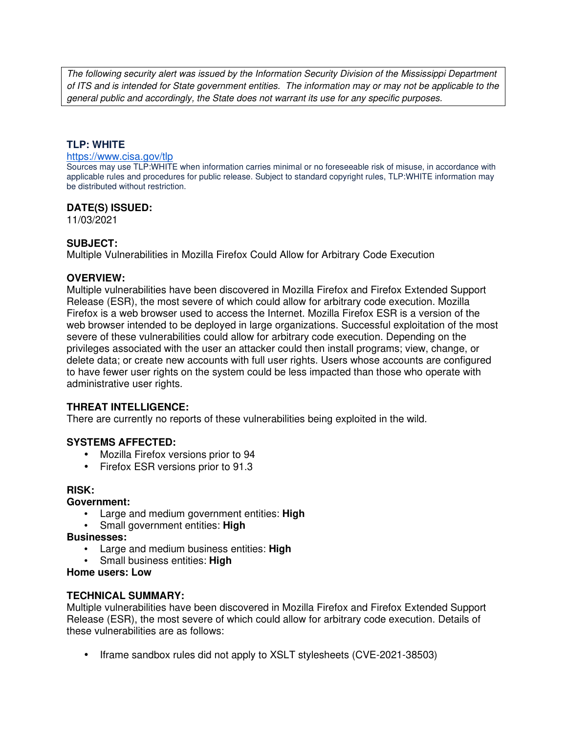The following security alert was issued by the Information Security Division of the Mississippi Department of ITS and is intended for State government entities. The information may or may not be applicable to the general public and accordingly, the State does not warrant its use for any specific purposes.

## **TLP: WHITE**

#### https://www.cisa.gov/tlp

Sources may use TLP:WHITE when information carries minimal or no foreseeable risk of misuse, in accordance with applicable rules and procedures for public release. Subject to standard copyright rules, TLP:WHITE information may be distributed without restriction.

## **DATE(S) ISSUED:**

11/03/2021

#### **SUBJECT:**

Multiple Vulnerabilities in Mozilla Firefox Could Allow for Arbitrary Code Execution

#### **OVERVIEW:**

Multiple vulnerabilities have been discovered in Mozilla Firefox and Firefox Extended Support Release (ESR), the most severe of which could allow for arbitrary code execution. Mozilla Firefox is a web browser used to access the Internet. Mozilla Firefox ESR is a version of the web browser intended to be deployed in large organizations. Successful exploitation of the most severe of these vulnerabilities could allow for arbitrary code execution. Depending on the privileges associated with the user an attacker could then install programs; view, change, or delete data; or create new accounts with full user rights. Users whose accounts are configured to have fewer user rights on the system could be less impacted than those who operate with administrative user rights.

## **THREAT INTELLIGENCE:**

There are currently no reports of these vulnerabilities being exploited in the wild.

## **SYSTEMS AFFECTED:**

- Mozilla Firefox versions prior to 94
- Firefox ESR versions prior to 91.3

## **RISK:**

#### **Government:**

- Large and medium government entities: **High**
- Small government entities: **High**

#### **Businesses:**

- Large and medium business entities: **High**
- Small business entities: **High**

## **Home users: Low**

## **TECHNICAL SUMMARY:**

Multiple vulnerabilities have been discovered in Mozilla Firefox and Firefox Extended Support Release (ESR), the most severe of which could allow for arbitrary code execution. Details of these vulnerabilities are as follows:

• Iframe sandbox rules did not apply to XSLT stylesheets (CVE-2021-38503)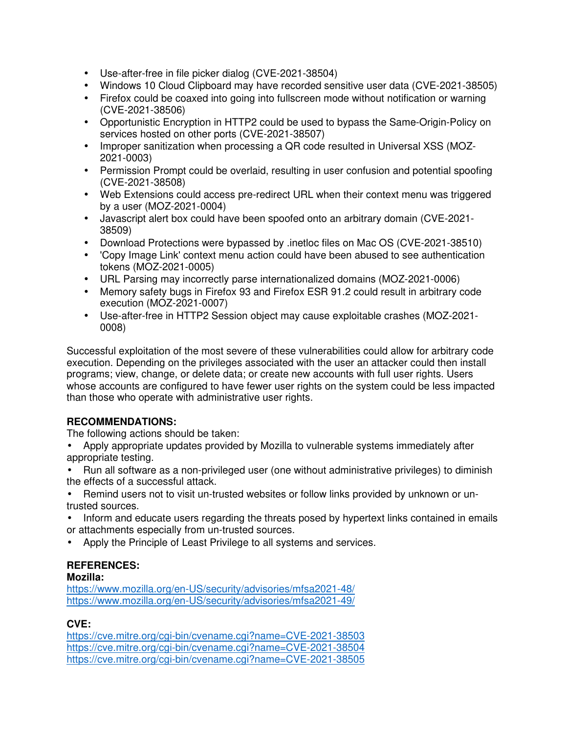- Use-after-free in file picker dialog (CVE-2021-38504)
- Windows 10 Cloud Clipboard may have recorded sensitive user data (CVE-2021-38505)
- Firefox could be coaxed into going into fullscreen mode without notification or warning (CVE-2021-38506)
- Opportunistic Encryption in HTTP2 could be used to bypass the Same-Origin-Policy on services hosted on other ports (CVE-2021-38507)
- Improper sanitization when processing a QR code resulted in Universal XSS (MOZ-2021-0003)
- Permission Prompt could be overlaid, resulting in user confusion and potential spoofing (CVE-2021-38508)
- Web Extensions could access pre-redirect URL when their context menu was triggered by a user (MOZ-2021-0004)
- Javascript alert box could have been spoofed onto an arbitrary domain (CVE-2021- 38509)
- Download Protections were bypassed by .inetloc files on Mac OS (CVE-2021-38510)
- 'Copy Image Link' context menu action could have been abused to see authentication tokens (MOZ-2021-0005)
- URL Parsing may incorrectly parse internationalized domains (MOZ-2021-0006)
- Memory safety bugs in Firefox 93 and Firefox ESR 91.2 could result in arbitrary code execution (MOZ-2021-0007)
- Use-after-free in HTTP2 Session object may cause exploitable crashes (MOZ-2021- 0008)

Successful exploitation of the most severe of these vulnerabilities could allow for arbitrary code execution. Depending on the privileges associated with the user an attacker could then install programs; view, change, or delete data; or create new accounts with full user rights. Users whose accounts are configured to have fewer user rights on the system could be less impacted than those who operate with administrative user rights.

# **RECOMMENDATIONS:**

The following actions should be taken:

- Apply appropriate updates provided by Mozilla to vulnerable systems immediately after appropriate testing.
- Run all software as a non-privileged user (one without administrative privileges) to diminish the effects of a successful attack.
- Remind users not to visit un-trusted websites or follow links provided by unknown or untrusted sources.
- Inform and educate users regarding the threats posed by hypertext links contained in emails or attachments especially from un-trusted sources.
- Apply the Principle of Least Privilege to all systems and services.

# **REFERENCES:**

## **Mozilla:**

https://www.mozilla.org/en-US/security/advisories/mfsa2021-48/ https://www.mozilla.org/en-US/security/advisories/mfsa2021-49/

# **CVE:**

https://cve.mitre.org/cgi-bin/cvename.cgi?name=CVE-2021-38503 https://cve.mitre.org/cgi-bin/cvename.cgi?name=CVE-2021-38504 https://cve.mitre.org/cgi-bin/cvename.cgi?name=CVE-2021-38505